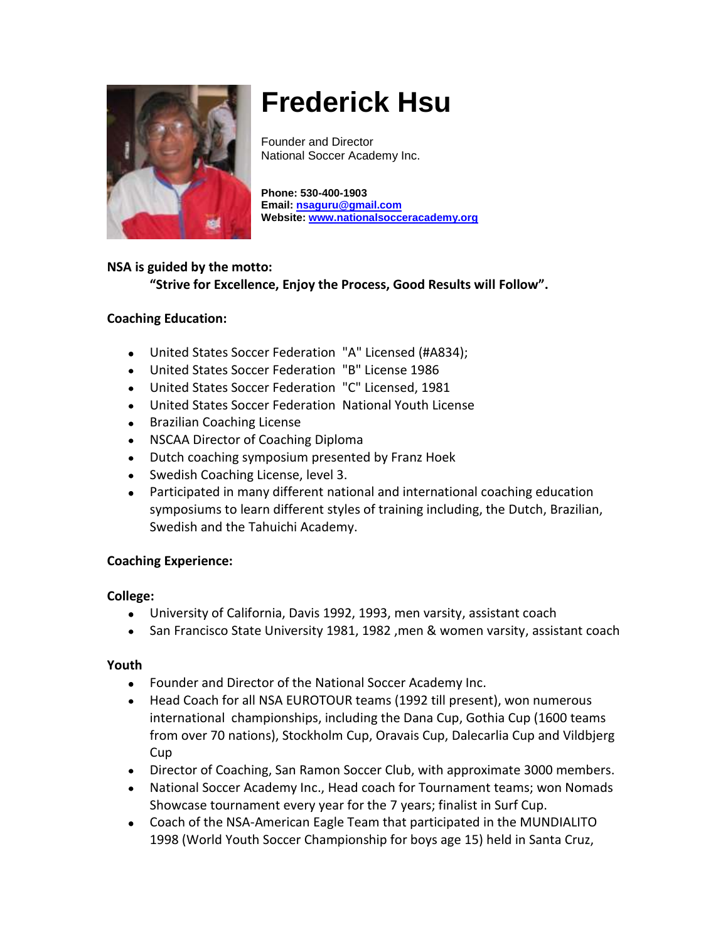

# **Frederick Hsu**

Founder and Director National Soccer Academy Inc.

**Phone: 530-400-1903 Email: [nsaguru@gmail.com](mailto:nsaguru@gmail.com) Website: [www.nationalsocceracademy.org](http://www.nationalsocceracademy.org/)**

# **NSA is guided by the motto:**

**"Strive for Excellence, Enjoy the Process, Good Results will Follow".**

#### **Coaching Education:**

- United States Soccer Federation "A" Licensed (#A834);
- United States Soccer Federation "B" License 1986
- United States Soccer Federation "C" Licensed, 1981
- United States Soccer Federation National Youth License
- Brazilian Coaching License
- NSCAA Director of Coaching Diploma
- Dutch coaching symposium presented by Franz Hoek
- Swedish Coaching License, level 3.
- Participated in many different national and international coaching education symposiums to learn different styles of training including, the Dutch, Brazilian, Swedish and the Tahuichi Academy.

#### **Coaching Experience:**

#### **College:**

- University of California, Davis 1992, 1993, men varsity, assistant coach  $\bullet$
- San Francisco State University 1981, 1982 ,men & women varsity, assistant coach

#### **Youth**

- Founder and Director of the National Soccer Academy Inc.
- Head Coach for all NSA EUROTOUR teams (1992 till present), won numerous international championships, including the Dana Cup, Gothia Cup (1600 teams from over 70 nations), Stockholm Cup, Oravais Cup, Dalecarlia Cup and Vildbjerg Cup
- Director of Coaching, San Ramon Soccer Club, with approximate 3000 members.
- National Soccer Academy Inc., Head coach for Tournament teams; won Nomads Showcase tournament every year for the 7 years; finalist in Surf Cup.
- Coach of the NSA-American Eagle Team that participated in the MUNDIALITO 1998 (World Youth Soccer Championship for boys age 15) held in Santa Cruz,